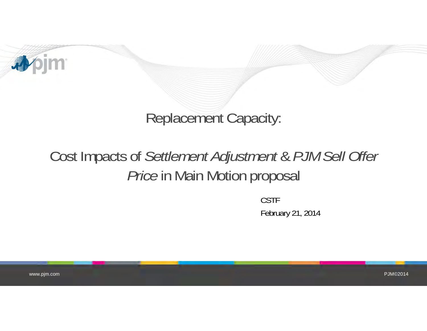

## Replacement Capacity:

# Cost Impacts of *Settlement Adjustment* & *PJM Sell Offer Price* in Main Motion proposal

CSTFFebruary 21, 2014

www.pjm.com

PJM©2014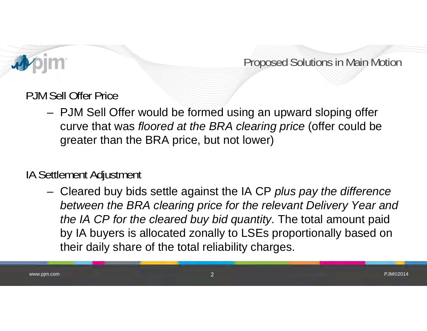

Proposed Solutions in Main Motion

PJM Sell Offer Price

 PJM Sell Offer would be formed using an upward sloping offer curve that was *floored at the BRA clearing price* (offer could be greater than the BRA price, but not lower)

### IA Settlement Adjustment

 Cleared buy bids settle against the IA CP *plus pay the difference between the BRA clearing price for the relevant Delivery Year and the IA CP for the cleared buy bid quantity*. The total amount paid by IA buyers is allocated zonally to LSEs proportionally based on their daily share of the total reliability charges.